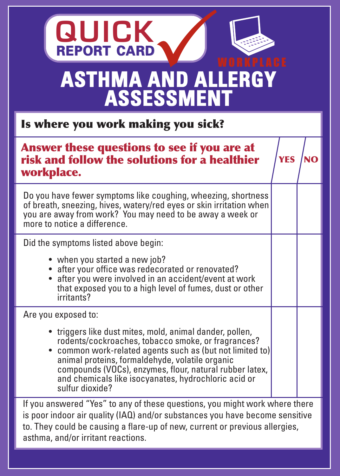## **ASTHMA AND ALLERGY ASSESSMENT REPORT CARD QUICK**

Is where you work making you sick?

| Answer these questions to see if you are at<br>risk and follow the solutions for a healthier<br>workplace.                                                                                                                                                                                                                                                                                  | <b>YES</b> |  |  |
|---------------------------------------------------------------------------------------------------------------------------------------------------------------------------------------------------------------------------------------------------------------------------------------------------------------------------------------------------------------------------------------------|------------|--|--|
| Do you have fewer symptoms like coughing, wheezing, shortness<br>of breath, sneezing, hives, watery/red eyes or skin irritation when<br>you are away from work? You may need to be away a week or<br>more to notice a difference.                                                                                                                                                           |            |  |  |
| Did the symptoms listed above begin:<br>• when you started a new job?<br>• after your office was redecorated or renovated?<br>• after you were involved in an accident/event at work<br>that exposed you to a high level of fumes, dust or other<br>irritants?                                                                                                                              |            |  |  |
| Are you exposed to:<br>• triggers like dust mites, mold, animal dander, pollen,<br>rodents/cockroaches, tobacco smoke, or fragrances?<br>• common work-related agents such as (but not limited to)<br>animal proteins, formaldehyde, volatile organic<br>compounds (VOCs), enzymes, flour, natural rubber latex,<br>and chemicals like isocyanates, hydrochloric acid or<br>sulfur dioxide? |            |  |  |
| If you appuared "Vee" to env of these questions you might work where there                                                                                                                                                                                                                                                                                                                  |            |  |  |

If you answered "Yes" to any of these questions, you might work where there is poor indoor air quality (IAQ) and/or substances you have become sensitive to. They could be causing a flare-up of new, current or previous allergies, asthma, and/or irritant reactions.